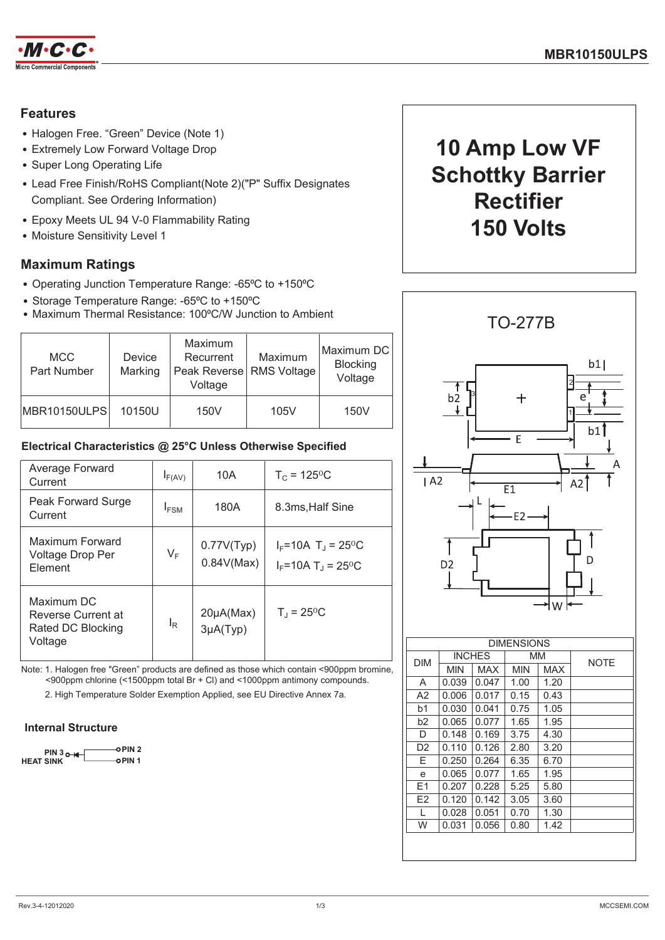

## **Features**

- Halogen Free. "Green" Device (Note 1)
- Extremely Low Forward Voltage Drop
- Super Long Operating Life
- Lead Free Finish/RoHS Compliant(Note 2)("P" Suffix Designates Compliant. See Ordering Information)
- Epoxy Meets UL 94 V-0 Flammability Rating
- Moisture Sensitivity Level 1

## **Maximum Ratings**

- Operating Junction Temperature Range: -65°C to +150°C
- Storage Temperature Range: -65°C to +150°C
- Maximum Thermal Resistance: 100°C/W Junction to Ambient

| <b>MCC</b><br>Part Number | <b>Device</b><br>Marking | Maximum<br>Recurrent<br>Peak Reverse   RMS Voltage  <br>Voltage | Maximum | Maximum DC<br><b>Blocking</b><br>Voltage |
|---------------------------|--------------------------|-----------------------------------------------------------------|---------|------------------------------------------|
| MBR10150ULPS              | 10150U                   | 150V                                                            | 105V    | 150V                                     |

## Electrical Characteristics @ 25°C Unless Otherwise Specified

| Average Forward<br>Current                                       | $I_{F(AV)}$      | 10A                             | $T_c = 125$ <sup>o</sup> C                                                      |
|------------------------------------------------------------------|------------------|---------------------------------|---------------------------------------------------------------------------------|
| Peak Forward Surge<br>Current                                    | I <sub>FSM</sub> | 180A                            | 8.3ms, Half Sine                                                                |
| Maximum Forward<br>Voltage Drop Per<br>Element                   | $V_F$            | 0.77V(Typ)<br>0.84V(Max)        | $I_F = 10A$ T <sub>J</sub> = 25 <sup>o</sup> C<br>$I_F = 10A T_1 = 25^{\circ}C$ |
| Maximum DC<br>Reverse Current at<br>Rated DC Blocking<br>Voltage | $I_R$            | $20\mu A(Max)$<br>$3\mu A(Typ)$ | $T_1 = 25^{\circ}C$                                                             |

Note: 1. Halogen free "Green" products are defined as those which contain <900ppm bromine.  $\leq 900$ ppm chlorine ( $\leq 1500$ ppm total Br + Cl) and  $\leq 1000$ ppm antimony compounds.

2. High Temperature Solder Exemption Applied, see EU Directive Annex 7a.

#### **Internal Structure**

o PIN 2  $PIN 3<sub>0+</sub>$  $\sim$  DIN 4 **HEAT SINK** 

# 10 Amp Low VF **Schottky Barrier Rectifier** 150 Volts



 $F<sub>2</sub>$ 

 $\overline{1}$  $\overline{w}$   $0.120$ 

 $0.028$ 

 $0.031$ 

 $0.142$ 

 $0.051$ 

 $0.056$ 

 $3.05$ 

 $0.70$ 

 $0.80$ 

 $3.60$ 

 $1.30$ 

 $1.42$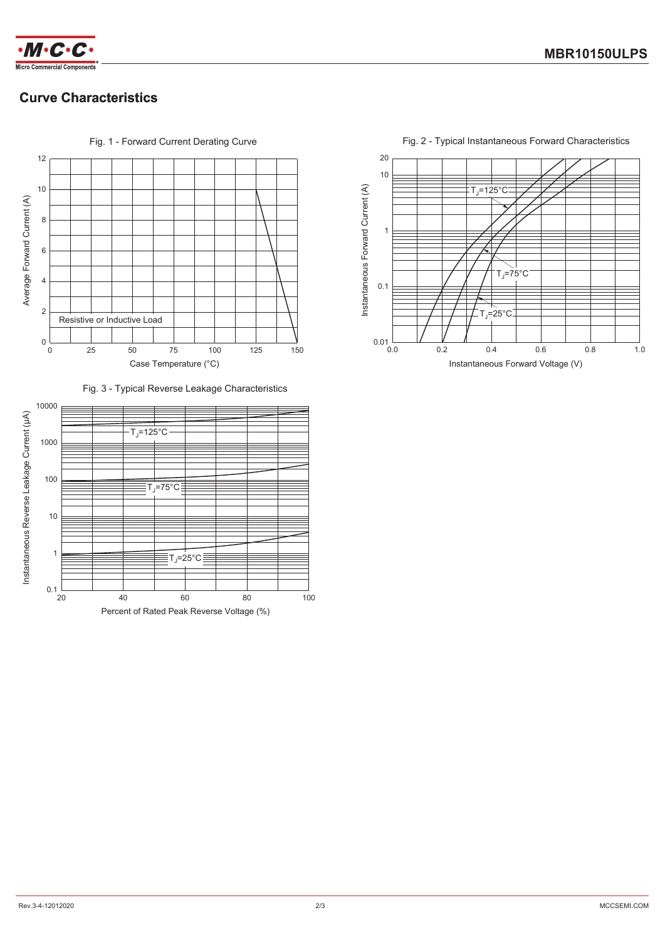



# **Curve Characteristics**



Fig. 1 - Forward Current Derating Curve







Fig. 2 - Typical Instantaneous Forward Characteristics